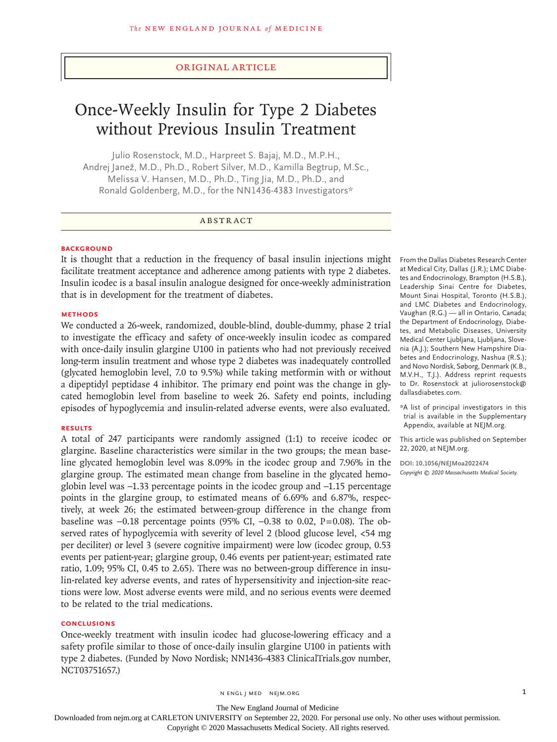# Original Article

# Once-Weekly Insulin for Type 2 Diabetes without Previous Insulin Treatment

Julio Rosenstock, M.D., Harpreet S. Bajaj, M.D., M.P.H., Andrej Janež, M.D., Ph.D., Robert Silver, M.D., Kamilla Begtrup, M.Sc., Melissa V. Hansen, M.D., Ph.D., Ting Jia, M.D., Ph.D., and Ronald Goldenberg, M.D., for the NN1436-4383 Investigators\*

# ABSTRACT

## **BACKGROUND**

It is thought that a reduction in the frequency of basal insulin injections might facilitate treatment acceptance and adherence among patients with type 2 diabetes. Insulin icodec is a basal insulin analogue designed for once-weekly administration that is in development for the treatment of diabetes.

# **METHODS**

We conducted a 26-week, randomized, double-blind, double-dummy, phase 2 trial to investigate the efficacy and safety of once-weekly insulin icodec as compared with once-daily insulin glargine U100 in patients who had not previously received long-term insulin treatment and whose type 2 diabetes was inadequately controlled (glycated hemoglobin level, 7.0 to 9.5%) while taking metformin with or without a dipeptidyl peptidase 4 inhibitor. The primary end point was the change in glycated hemoglobin level from baseline to week 26. Safety end points, including episodes of hypoglycemia and insulin-related adverse events, were also evaluated.

#### **RESULTS**

A total of 247 participants were randomly assigned (1:1) to receive icodec or glargine. Baseline characteristics were similar in the two groups; the mean baseline glycated hemoglobin level was 8.09% in the icodec group and 7.96% in the glargine group. The estimated mean change from baseline in the glycated hemoglobin level was −1.33 percentage points in the icodec group and −1.15 percentage points in the glargine group, to estimated means of 6.69% and 6.87%, respectively, at week 26; the estimated between-group difference in the change from baseline was  $-0.18$  percentage points (95% CI,  $-0.38$  to 0.02, P=0.08). The observed rates of hypoglycemia with severity of level 2 (blood glucose level, <54 mg per deciliter) or level 3 (severe cognitive impairment) were low (icodec group, 0.53 events per patient-year; glargine group, 0.46 events per patient-year; estimated rate ratio, 1.09; 95% CI, 0.45 to 2.65). There was no between-group difference in insulin-related key adverse events, and rates of hypersensitivity and injection-site reactions were low. Most adverse events were mild, and no serious events were deemed to be related to the trial medications.

# **CONCLUSIONS**

Once-weekly treatment with insulin icodec had glucose-lowering efficacy and a safety profile similar to those of once-daily insulin glargine U100 in patients with type 2 diabetes. (Funded by Novo Nordisk; NN1436-4383 ClinicalTrials.gov number, NCT03751657.)

From the Dallas Diabetes Research Center at Medical City, Dallas (J.R.); LMC Diabetes and Endocrinology, Brampton (H.S.B.), Leadership Sinai Centre for Diabetes, Mount Sinai Hospital, Toronto (H.S.B.), and LMC Diabetes and Endocrinology, Vaughan (R.G.) — all in Ontario, Canada; the Department of Endocrinology, Diabetes, and Metabolic Diseases, University Medical Center Ljubljana, Ljubljana, Slovenia (A.J.); Southern New Hampshire Diabetes and Endocrinology, Nashua (R.S.); and Novo Nordisk, Søborg, Denmark (K.B., M.V.H., T.J.). Address reprint requests to Dr. Rosenstock at juliorosenstock@ dallasdiabetes.com.

\*A list of principal investigators in this trial is available in the Supplementary Appendix, available at NEJM.org.

This article was published on September 22, 2020, at NEJM.org.

**DOI: 10.1056/NEJMoa2022474** *Copyright © 2020 Massachusetts Medical Society.*

n engl j med nejm.org 1

#### The New England Journal of Medicine

Downloaded from nejm.org at CARLETON UNIVERSITY on September 22, 2020. For personal use only. No other uses without permission.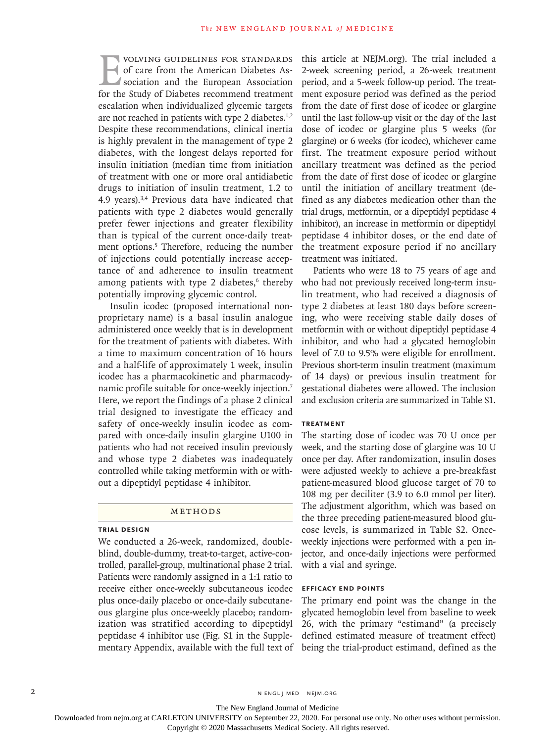VOLVING GUIDELINES FOR STANDARDS<br>
of care from the American Diabetes Association<br>
for the Study of Diabetes recommend treatment of care from the American Diabetes Association and the European Association for the Study of Diabetes recommend treatment escalation when individualized glycemic targets are not reached in patients with type 2 diabetes.<sup>1,2</sup> Despite these recommendations, clinical inertia is highly prevalent in the management of type 2 diabetes, with the longest delays reported for insulin initiation (median time from initiation of treatment with one or more oral antidiabetic drugs to initiation of insulin treatment, 1.2 to 4.9 years).3,4 Previous data have indicated that patients with type 2 diabetes would generally prefer fewer injections and greater flexibility than is typical of the current once-daily treatment options.<sup>5</sup> Therefore, reducing the number of injections could potentially increase acceptance of and adherence to insulin treatment among patients with type 2 diabetes,<sup>6</sup> thereby potentially improving glycemic control.

Insulin icodec (proposed international nonproprietary name) is a basal insulin analogue administered once weekly that is in development for the treatment of patients with diabetes. With a time to maximum concentration of 16 hours and a half-life of approximately 1 week, insulin icodec has a pharmacokinetic and pharmacodynamic profile suitable for once-weekly injection.7 Here, we report the findings of a phase 2 clinical trial designed to investigate the efficacy and safety of once-weekly insulin icodec as compared with once-daily insulin glargine U100 in patients who had not received insulin previously and whose type 2 diabetes was inadequately controlled while taking metformin with or without a dipeptidyl peptidase 4 inhibitor.

# Methods

# **Trial Design**

We conducted a 26-week, randomized, doubleblind, double-dummy, treat-to-target, active-controlled, parallel-group, multinational phase 2 trial. Patients were randomly assigned in a 1:1 ratio to receive either once-weekly subcutaneous icodec plus once-daily placebo or once-daily subcutaneous glargine plus once-weekly placebo; randomization was stratified according to dipeptidyl peptidase 4 inhibitor use (Fig. S1 in the Supplementary Appendix, available with the full text of

this article at NEJM.org). The trial included a 2-week screening period, a 26-week treatment period, and a 5-week follow-up period. The treatment exposure period was defined as the period from the date of first dose of icodec or glargine until the last follow-up visit or the day of the last dose of icodec or glargine plus 5 weeks (for glargine) or 6 weeks (for icodec), whichever came first. The treatment exposure period without ancillary treatment was defined as the period from the date of first dose of icodec or glargine until the initiation of ancillary treatment (defined as any diabetes medication other than the trial drugs, metformin, or a dipeptidyl peptidase 4 inhibitor), an increase in metformin or dipeptidyl peptidase 4 inhibitor doses, or the end date of the treatment exposure period if no ancillary treatment was initiated.

Patients who were 18 to 75 years of age and who had not previously received long-term insulin treatment, who had received a diagnosis of type 2 diabetes at least 180 days before screening, who were receiving stable daily doses of metformin with or without dipeptidyl peptidase 4 inhibitor, and who had a glycated hemoglobin level of 7.0 to 9.5% were eligible for enrollment. Previous short-term insulin treatment (maximum of 14 days) or previous insulin treatment for gestational diabetes were allowed. The inclusion and exclusion criteria are summarized in Table S1.

# **Treatment**

The starting dose of icodec was 70 U once per week, and the starting dose of glargine was 10 U once per day. After randomization, insulin doses were adjusted weekly to achieve a pre-breakfast patient-measured blood glucose target of 70 to 108 mg per deciliter (3.9 to 6.0 mmol per liter). The adjustment algorithm, which was based on the three preceding patient-measured blood glucose levels, is summarized in Table S2. Onceweekly injections were performed with a pen injector, and once-daily injections were performed with a vial and syringe.

# **Efficacy End Points**

The primary end point was the change in the glycated hemoglobin level from baseline to week 26, with the primary "estimand" (a precisely defined estimated measure of treatment effect) being the trial-product estimand, defined as the

2 N ENGL J MED NEJM.ORG

The New England Journal of Medicine

Downloaded from nejm.org at CARLETON UNIVERSITY on September 22, 2020. For personal use only. No other uses without permission.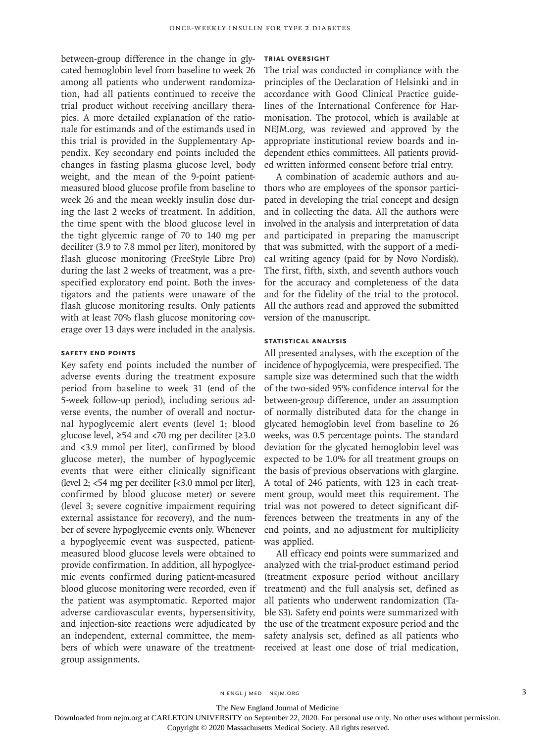between-group difference in the change in glycated hemoglobin level from baseline to week 26 among all patients who underwent randomization, had all patients continued to receive the trial product without receiving ancillary therapies. A more detailed explanation of the rationale for estimands and of the estimands used in this trial is provided in the Supplementary Appendix. Key secondary end points included the changes in fasting plasma glucose level, body weight, and the mean of the 9-point patientmeasured blood glucose profile from baseline to week 26 and the mean weekly insulin dose during the last 2 weeks of treatment. In addition, the time spent with the blood glucose level in the tight glycemic range of 70 to 140 mg per deciliter (3.9 to 7.8 mmol per liter), monitored by flash glucose monitoring (FreeStyle Libre Pro) during the last 2 weeks of treatment, was a prespecified exploratory end point. Both the investigators and the patients were unaware of the flash glucose monitoring results. Only patients with at least 70% flash glucose monitoring coverage over 13 days were included in the analysis.

# **Safety End Points**

Key safety end points included the number of adverse events during the treatment exposure period from baseline to week 31 (end of the 5-week follow-up period), including serious adverse events, the number of overall and nocturnal hypoglycemic alert events (level 1; blood glucose level,  $≥54$  and <70 mg per deciliter  $[≥3.0$ and <3.9 mmol per liter], confirmed by blood glucose meter), the number of hypoglycemic events that were either clinically significant (level 2; <54 mg per deciliter [<3.0 mmol per liter], confirmed by blood glucose meter) or severe (level 3; severe cognitive impairment requiring external assistance for recovery), and the number of severe hypoglycemic events only. Whenever a hypoglycemic event was suspected, patientmeasured blood glucose levels were obtained to provide confirmation. In addition, all hypoglycemic events confirmed during patient-measured blood glucose monitoring were recorded, even if the patient was asymptomatic. Reported major adverse cardiovascular events, hypersensitivity, and injection-site reactions were adjudicated by an independent, external committee, the members of which were unaware of the treatmentgroup assignments.

#### **Trial Oversight**

The trial was conducted in compliance with the principles of the Declaration of Helsinki and in accordance with Good Clinical Practice guidelines of the International Conference for Harmonisation. The protocol, which is available at NEJM.org, was reviewed and approved by the appropriate institutional review boards and independent ethics committees. All patients provided written informed consent before trial entry.

A combination of academic authors and authors who are employees of the sponsor participated in developing the trial concept and design and in collecting the data. All the authors were involved in the analysis and interpretation of data and participated in preparing the manuscript that was submitted, with the support of a medical writing agency (paid for by Novo Nordisk). The first, fifth, sixth, and seventh authors vouch for the accuracy and completeness of the data and for the fidelity of the trial to the protocol. All the authors read and approved the submitted version of the manuscript.

# **Statistical Analysis**

All presented analyses, with the exception of the incidence of hypoglycemia, were prespecified. The sample size was determined such that the width of the two-sided 95% confidence interval for the between-group difference, under an assumption of normally distributed data for the change in glycated hemoglobin level from baseline to 26 weeks, was 0.5 percentage points. The standard deviation for the glycated hemoglobin level was expected to be 1.0% for all treatment groups on the basis of previous observations with glargine. A total of 246 patients, with 123 in each treatment group, would meet this requirement. The trial was not powered to detect significant differences between the treatments in any of the end points, and no adjustment for multiplicity was applied.

All efficacy end points were summarized and analyzed with the trial-product estimand period (treatment exposure period without ancillary treatment) and the full analysis set, defined as all patients who underwent randomization (Table S3). Safety end points were summarized with the use of the treatment exposure period and the safety analysis set, defined as all patients who received at least one dose of trial medication,

n engl j med nejm.org 3

The New England Journal of Medicine

Downloaded from nejm.org at CARLETON UNIVERSITY on September 22, 2020. For personal use only. No other uses without permission.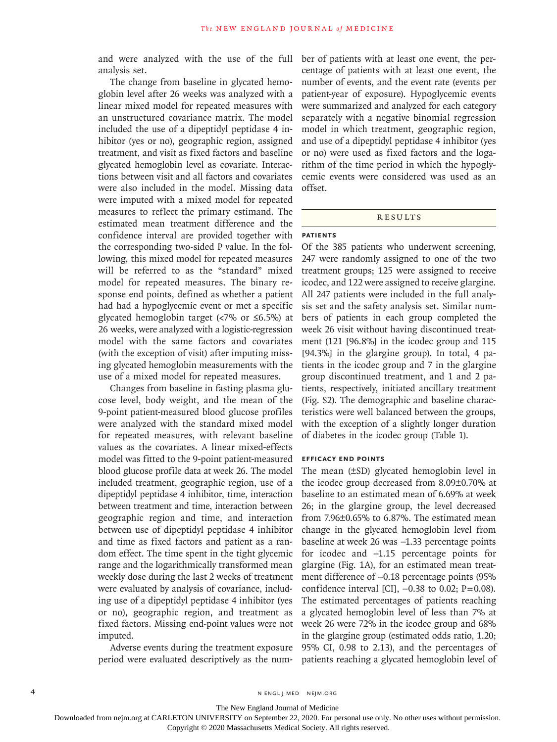and were analyzed with the use of the full analysis set.

The change from baseline in glycated hemoglobin level after 26 weeks was analyzed with a linear mixed model for repeated measures with an unstructured covariance matrix. The model included the use of a dipeptidyl peptidase 4 inhibitor (yes or no), geographic region, assigned treatment, and visit as fixed factors and baseline glycated hemoglobin level as covariate. Interactions between visit and all factors and covariates were also included in the model. Missing data were imputed with a mixed model for repeated measures to reflect the primary estimand. The estimated mean treatment difference and the confidence interval are provided together with the corresponding two-sided P value. In the following, this mixed model for repeated measures will be referred to as the "standard" mixed model for repeated measures. The binary response end points, defined as whether a patient had had a hypoglycemic event or met a specific glycated hemoglobin target (<7% or ≤6.5%) at 26 weeks, were analyzed with a logistic-regression model with the same factors and covariates (with the exception of visit) after imputing missing glycated hemoglobin measurements with the use of a mixed model for repeated measures.

Changes from baseline in fasting plasma glucose level, body weight, and the mean of the 9-point patient-measured blood glucose profiles were analyzed with the standard mixed model for repeated measures, with relevant baseline values as the covariates. A linear mixed-effects model was fitted to the 9-point patient-measured blood glucose profile data at week 26. The model included treatment, geographic region, use of a dipeptidyl peptidase 4 inhibitor, time, interaction between treatment and time, interaction between geographic region and time, and interaction between use of dipeptidyl peptidase 4 inhibitor and time as fixed factors and patient as a random effect. The time spent in the tight glycemic range and the logarithmically transformed mean weekly dose during the last 2 weeks of treatment were evaluated by analysis of covariance, including use of a dipeptidyl peptidase 4 inhibitor (yes or no), geographic region, and treatment as fixed factors. Missing end-point values were not imputed.

Adverse events during the treatment exposure period were evaluated descriptively as the number of patients with at least one event, the percentage of patients with at least one event, the number of events, and the event rate (events per patient-year of exposure). Hypoglycemic events were summarized and analyzed for each category separately with a negative binomial regression model in which treatment, geographic region, and use of a dipeptidyl peptidase 4 inhibitor (yes or no) were used as fixed factors and the logarithm of the time period in which the hypoglycemic events were considered was used as an offset.

# **RESULTS**

# **Patients**

Of the 385 patients who underwent screening, 247 were randomly assigned to one of the two treatment groups; 125 were assigned to receive icodec, and 122 were assigned to receive glargine. All 247 patients were included in the full analysis set and the safety analysis set. Similar numbers of patients in each group completed the week 26 visit without having discontinued treatment (121 [96.8%] in the icodec group and 115 [94.3%] in the glargine group). In total, 4 patients in the icodec group and 7 in the glargine group discontinued treatment, and 1 and 2 patients, respectively, initiated ancillary treatment (Fig. S2). The demographic and baseline characteristics were well balanced between the groups, with the exception of a slightly longer duration of diabetes in the icodec group (Table 1).

# **Efficacy End Points**

The mean (±SD) glycated hemoglobin level in the icodec group decreased from 8.09±0.70% at baseline to an estimated mean of 6.69% at week 26; in the glargine group, the level decreased from 7.96±0.65% to 6.87%. The estimated mean change in the glycated hemoglobin level from baseline at week 26 was −1.33 percentage points for icodec and −1.15 percentage points for glargine (Fig. 1A), for an estimated mean treatment difference of −0.18 percentage points (95% confidence interval [CI],  $-0.38$  to 0.02; P=0.08). The estimated percentages of patients reaching a glycated hemoglobin level of less than 7% at week 26 were 72% in the icodec group and 68% in the glargine group (estimated odds ratio, 1.20; 95% CI, 0.98 to 2.13), and the percentages of patients reaching a glycated hemoglobin level of

4 n engl j med nejm.org nejm.org neighborhood in the negative media in the negative media in the negative media in the negative media in the negative media in the negative media in the negative media in the negative media

The New England Journal of Medicine

Downloaded from nejm.org at CARLETON UNIVERSITY on September 22, 2020. For personal use only. No other uses without permission.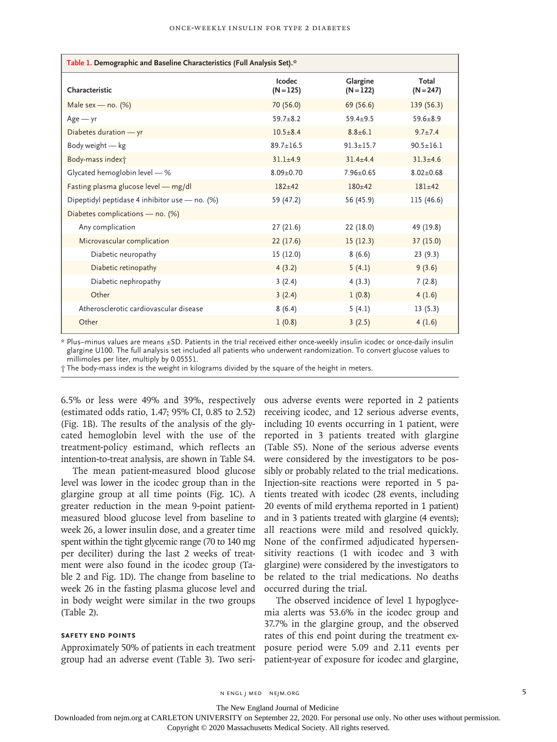| Table 1. Demographic and Baseline Characteristics (Full Analysis Set).* |                       |                         |                      |  |  |  |  |
|-------------------------------------------------------------------------|-----------------------|-------------------------|----------------------|--|--|--|--|
| Characteristic                                                          | Icodec<br>$(N = 125)$ | Glargine<br>$(N = 122)$ | Total<br>$(N = 247)$ |  |  |  |  |
| Male sex — no. $(\%)$                                                   | 70 (56.0)             | 69 (56.6)               | 139(56.3)            |  |  |  |  |
| $Age - yr$                                                              | $59.7 + 8.2$          | $59.4 + 9.5$            | $59.6 + 8.9$         |  |  |  |  |
| Diabetes duration - yr                                                  | $10.5 + 8.4$          | $8.8 + 6.1$             | $9.7 + 7.4$          |  |  |  |  |
| Body weight $-$ kg                                                      | $89.7 \pm 16.5$       | $91.3 \pm 15.7$         | $90.5 + 16.1$        |  |  |  |  |
| Body-mass index†                                                        | $31.1 + 4.9$          | $31.4 + 4.4$            | $31.3 + 4.6$         |  |  |  |  |
| Glycated hemoglobin level - %                                           | $8.09 \pm 0.70$       | $7.96 + 0.65$           | $8.02 \pm 0.68$      |  |  |  |  |
| Fasting plasma glucose level - mg/dl                                    | $182 + 42$            | $180 + 42$              | $181 + 42$           |  |  |  |  |
| Dipeptidyl peptidase 4 inhibitor use - no. (%)                          | 59 (47.2)             | 56 (45.9)               | 115 (46.6)           |  |  |  |  |
| Diabetes complications - no. (%)                                        |                       |                         |                      |  |  |  |  |
| Any complication                                                        | 27(21.6)              | 22(18.0)                | 49 (19.8)            |  |  |  |  |
| Microvascular complication                                              | 22(17.6)              | 15(12.3)                | 37 (15.0)            |  |  |  |  |
| Diabetic neuropathy                                                     | 15 (12.0)             | 8(6.6)                  | 23(9.3)              |  |  |  |  |
| Diabetic retinopathy                                                    | 4(3.2)                | 5(4.1)                  | 9(3.6)               |  |  |  |  |
| Diabetic nephropathy                                                    | 3(2.4)                | 4(3.3)                  | 7(2.8)               |  |  |  |  |
| Other                                                                   | 3(2.4)                | 1(0.8)                  | 4(1.6)               |  |  |  |  |
| Atherosclerotic cardiovascular disease                                  | 8(6.4)                | 5(4.1)                  | 13(5.3)              |  |  |  |  |
| Other                                                                   | 1(0.8)                | 3(2.5)                  | 4(1.6)               |  |  |  |  |

\* Plus–minus values are means ±SD. Patients in the trial received either once-weekly insulin icodec or once-daily insulin glargine U100. The full analysis set included all patients who underwent randomization. To convert glucose values to millimoles per liter, multiply by 0.05551.

† The body-mass index is the weight in kilograms divided by the square of the height in meters.

6.5% or less were 49% and 39%, respectively (estimated odds ratio, 1.47; 95% CI, 0.85 to 2.52) (Fig. 1B). The results of the analysis of the glycated hemoglobin level with the use of the treatment-policy estimand, which reflects an intention-to-treat analysis, are shown in Table S4.

The mean patient-measured blood glucose level was lower in the icodec group than in the glargine group at all time points (Fig. 1C). A greater reduction in the mean 9-point patientmeasured blood glucose level from baseline to week 26, a lower insulin dose, and a greater time spent within the tight glycemic range (70 to 140 mg per deciliter) during the last 2 weeks of treatment were also found in the icodec group (Table 2 and Fig. 1D). The change from baseline to week 26 in the fasting plasma glucose level and in body weight were similar in the two groups (Table 2).

# **Safety End Points**

ous adverse events were reported in 2 patients receiving icodec, and 12 serious adverse events, including 10 events occurring in 1 patient, were reported in 3 patients treated with glargine (Table S5). None of the serious adverse events were considered by the investigators to be possibly or probably related to the trial medications. Injection-site reactions were reported in 5 patients treated with icodec (28 events, including 20 events of mild erythema reported in 1 patient) and in 3 patients treated with glargine (4 events); all reactions were mild and resolved quickly. None of the confirmed adjudicated hypersensitivity reactions (1 with icodec and 3 with glargine) were considered by the investigators to be related to the trial medications. No deaths occurred during the trial.

Approximately 50% of patients in each treatment posure period were 5.09 and 2.11 events per group had an adverse event (Table 3). Two seri-patient-year of exposure for icodec and glargine, The observed incidence of level 1 hypoglycemia alerts was 53.6% in the icodec group and 37.7% in the glargine group, and the observed rates of this end point during the treatment ex-

n engl j med nejm.org 5

The New England Journal of Medicine

Downloaded from nejm.org at CARLETON UNIVERSITY on September 22, 2020. For personal use only. No other uses without permission.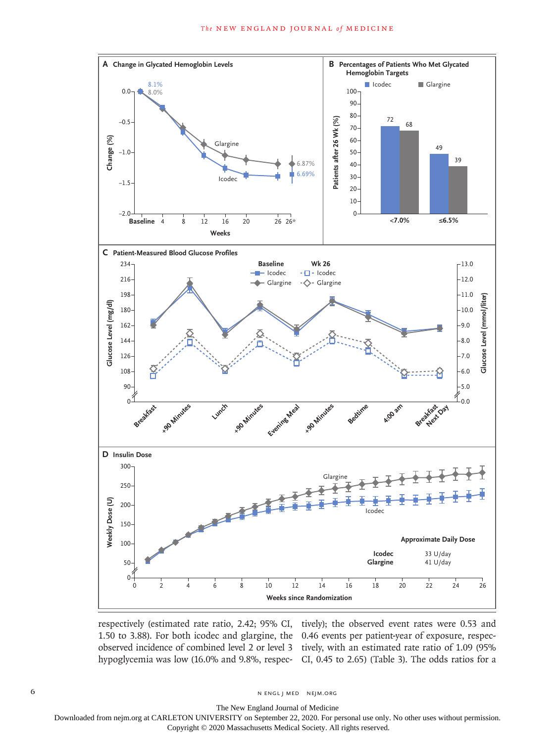

respectively (estimated rate ratio, 2.42; 95% CI, tively); the observed event rates were 0.53 and 1.50 to 3.88). For both icodec and glargine, the 0.46 events per patient-year of exposure, respecobserved incidence of combined level 2 or level 3 tively, with an estimated rate ratio of 1.09 (95% hypoglycemia was low (16.0% and 9.8%, respec-CI, 0.45 to 2.65) (Table 3). The odds ratios for a

6 N ENGL | MED NE| M.ORG

The New England Journal of Medicine

Downloaded from nejm.org at CARLETON UNIVERSITY on September 22, 2020. For personal use only. No other uses without permission.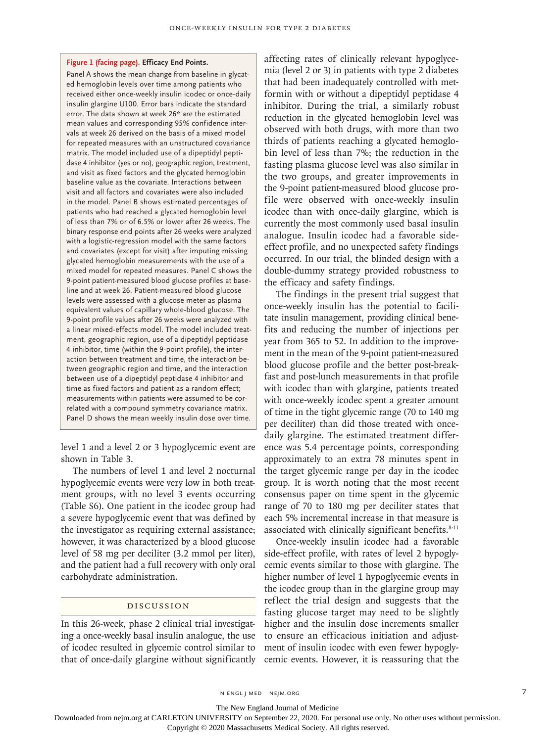#### **Figure 1 (facing page). Efficacy End Points.**

Panel A shows the mean change from baseline in glycated hemoglobin levels over time among patients who received either once-weekly insulin icodec or once-daily insulin glargine U100. Error bars indicate the standard error. The data shown at week 26\* are the estimated mean values and corresponding 95% confidence intervals at week 26 derived on the basis of a mixed model for repeated measures with an unstructured covariance matrix. The model included use of a dipeptidyl peptidase 4 inhibitor (yes or no), geographic region, treatment, and visit as fixed factors and the glycated hemoglobin baseline value as the covariate. Interactions between visit and all factors and covariates were also included in the model. Panel B shows estimated percentages of patients who had reached a glycated hemoglobin level of less than 7% or of 6.5% or lower after 26 weeks. The binary response end points after 26 weeks were analyzed with a logistic-regression model with the same factors and covariates (except for visit) after imputing missing glycated hemoglobin measurements with the use of a mixed model for repeated measures. Panel C shows the 9-point patient-measured blood glucose profiles at baseline and at week 26. Patient-measured blood glucose levels were assessed with a glucose meter as plasma equivalent values of capillary whole-blood glucose. The 9-point profile values after 26 weeks were analyzed with a linear mixed-effects model. The model included treatment, geographic region, use of a dipeptidyl peptidase 4 inhibitor, time (within the 9-point profile), the interaction between treatment and time, the interaction between geographic region and time, and the interaction between use of a dipeptidyl peptidase 4 inhibitor and time as fixed factors and patient as a random effect; measurements within patients were assumed to be correlated with a compound symmetry covariance matrix. Panel D shows the mean weekly insulin dose over time.

level 1 and a level 2 or 3 hypoglycemic event are shown in Table 3.

The numbers of level 1 and level 2 nocturnal hypoglycemic events were very low in both treatment groups, with no level 3 events occurring (Table S6). One patient in the icodec group had a severe hypoglycemic event that was defined by the investigator as requiring external assistance; however, it was characterized by a blood glucose level of 58 mg per deciliter (3.2 mmol per liter), and the patient had a full recovery with only oral carbohydrate administration.

## Discussion

In this 26-week, phase 2 clinical trial investigating a once-weekly basal insulin analogue, the use of icodec resulted in glycemic control similar to that of once-daily glargine without significantly affecting rates of clinically relevant hypoglycemia (level 2 or 3) in patients with type 2 diabetes that had been inadequately controlled with metformin with or without a dipeptidyl peptidase 4 inhibitor. During the trial, a similarly robust reduction in the glycated hemoglobin level was observed with both drugs, with more than two thirds of patients reaching a glycated hemoglobin level of less than 7%; the reduction in the fasting plasma glucose level was also similar in the two groups, and greater improvements in the 9-point patient-measured blood glucose profile were observed with once-weekly insulin icodec than with once-daily glargine, which is currently the most commonly used basal insulin analogue. Insulin icodec had a favorable sideeffect profile, and no unexpected safety findings occurred. In our trial, the blinded design with a double-dummy strategy provided robustness to the efficacy and safety findings.

The findings in the present trial suggest that once-weekly insulin has the potential to facilitate insulin management, providing clinical benefits and reducing the number of injections per year from 365 to 52. In addition to the improvement in the mean of the 9-point patient-measured blood glucose profile and the better post-breakfast and post-lunch measurements in that profile with icodec than with glargine, patients treated with once-weekly icodec spent a greater amount of time in the tight glycemic range (70 to 140 mg per deciliter) than did those treated with oncedaily glargine. The estimated treatment difference was 5.4 percentage points, corresponding approximately to an extra 78 minutes spent in the target glycemic range per day in the icodec group. It is worth noting that the most recent consensus paper on time spent in the glycemic range of 70 to 180 mg per deciliter states that each 5% incremental increase in that measure is associated with clinically significant benefits.<sup>8-11</sup>

Once-weekly insulin icodec had a favorable side-effect profile, with rates of level 2 hypoglycemic events similar to those with glargine. The higher number of level 1 hypoglycemic events in the icodec group than in the glargine group may reflect the trial design and suggests that the fasting glucose target may need to be slightly higher and the insulin dose increments smaller to ensure an efficacious initiation and adjustment of insulin icodec with even fewer hypoglycemic events. However, it is reassuring that the

n engl j med nejm.org 7

The New England Journal of Medicine

Downloaded from nejm.org at CARLETON UNIVERSITY on September 22, 2020. For personal use only. No other uses without permission.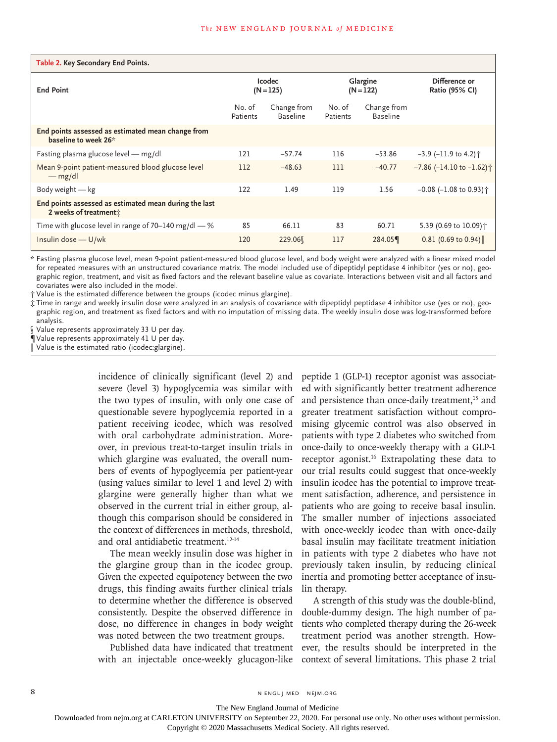| Table 2. Key Secondary End Points.                                                         |                              |                                |                         |                                |                                              |
|--------------------------------------------------------------------------------------------|------------------------------|--------------------------------|-------------------------|--------------------------------|----------------------------------------------|
| <b>End Point</b>                                                                           | <b>Icodec</b><br>$(N = 125)$ |                                | Glargine<br>$(N = 122)$ |                                | Difference or<br>Ratio (95% CI)              |
|                                                                                            | No. of<br>Patients           | Change from<br><b>Baseline</b> | No. of<br>Patients      | Change from<br><b>Baseline</b> |                                              |
| End points assessed as estimated mean change from<br>baseline to week 26*                  |                              |                                |                         |                                |                                              |
| Fasting plasma glucose level - mg/dl                                                       | 121                          | $-57.74$                       | 116                     | $-53.86$                       | $-3.9$ (-11.9 to 4.2) $\uparrow$             |
| Mean 9-point patient-measured blood glucose level<br>$-mg/dl$                              | 112                          | $-48.63$                       | 111                     | $-40.77$                       | $-7.86$ ( $-14.10$ to $-1.62$ ) <sup>+</sup> |
| Body weight $-$ kg                                                                         | 122                          | 1.49                           | 119                     | 1.56                           | $-0.08$ (-1.08 to 0.93) <sup>+</sup>         |
| End points assessed as estimated mean during the last<br>2 weeks of treatment <sup>*</sup> |                              |                                |                         |                                |                                              |
| Time with glucose level in range of 70-140 mg/dl $-$ %                                     | 85                           | 66.11                          | 83                      | 60.71                          | 5.39 (0.69 to 10.09) +                       |
| Insulin dose - U/wk                                                                        | 120                          | 229.06                         | 117                     | 284.05                         | $0.81$ (0.69 to 0.94)                        |

\* Fasting plasma glucose level, mean 9-point patient-measured blood glucose level, and body weight were analyzed with a linear mixed model for repeated measures with an unstructured covariance matrix. The model included use of dipeptidyl peptidase 4 inhibitor (yes or no), geographic region, treatment, and visit as fixed factors and the relevant baseline value as covariate. Interactions between visit and all factors and covariates were also included in the model.

† Value is the estimated difference between the groups (icodec minus glargine).

‡ Time in range and weekly insulin dose were analyzed in an analysis of covariance with dipeptidyl peptidase 4 inhibitor use (yes or no), geographic region, and treatment as fixed factors and with no imputation of missing data. The weekly insulin dose was log-transformed before analysis.

§ Value represents approximately 33 U per day.

¶ Value represents approximately 41 U per day.

Value is the estimated ratio (icodec: glargine).

incidence of clinically significant (level 2) and severe (level 3) hypoglycemia was similar with the two types of insulin, with only one case of questionable severe hypoglycemia reported in a patient receiving icodec, which was resolved with oral carbohydrate administration. Moreover, in previous treat-to-target insulin trials in which glargine was evaluated, the overall numbers of events of hypoglycemia per patient-year (using values similar to level 1 and level 2) with glargine were generally higher than what we observed in the current trial in either group, although this comparison should be considered in the context of differences in methods, threshold, and oral antidiabetic treatment.12-14

The mean weekly insulin dose was higher in the glargine group than in the icodec group. Given the expected equipotency between the two drugs, this finding awaits further clinical trials to determine whether the difference is observed consistently. Despite the observed difference in dose, no difference in changes in body weight was noted between the two treatment groups.

Published data have indicated that treatment with an injectable once-weekly glucagon-like

peptide 1 (GLP-1) receptor agonist was associated with significantly better treatment adherence and persistence than once-daily treatment,<sup>15</sup> and greater treatment satisfaction without compromising glycemic control was also observed in patients with type 2 diabetes who switched from once-daily to once-weekly therapy with a GLP-1 receptor agonist.16 Extrapolating these data to our trial results could suggest that once-weekly insulin icodec has the potential to improve treatment satisfaction, adherence, and persistence in patients who are going to receive basal insulin. The smaller number of injections associated with once-weekly icodec than with once-daily basal insulin may facilitate treatment initiation in patients with type 2 diabetes who have not previously taken insulin, by reducing clinical inertia and promoting better acceptance of insulin therapy.

A strength of this study was the double-blind, double-dummy design. The high number of patients who completed therapy during the 26-week treatment period was another strength. However, the results should be interpreted in the context of several limitations. This phase 2 trial

8 N ENGL J MED NEJM.ORG

The New England Journal of Medicine

Downloaded from nejm.org at CARLETON UNIVERSITY on September 22, 2020. For personal use only. No other uses without permission.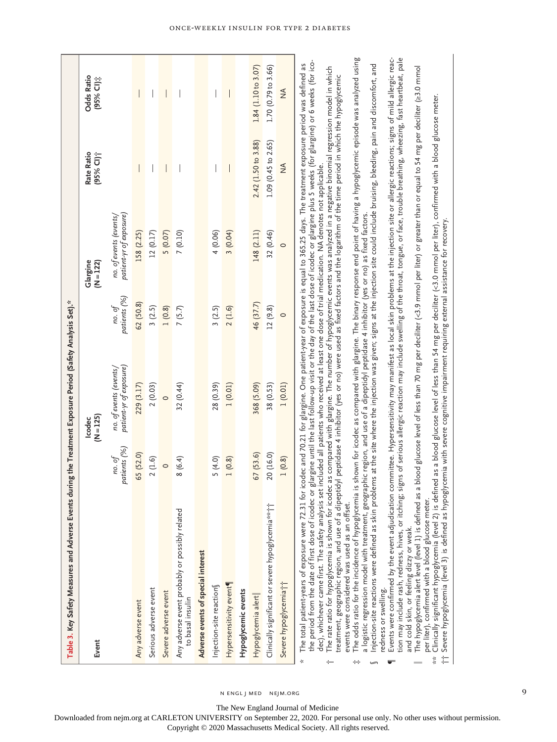n engl j med nejm.org

The New England Journal of Medicine

Downloaded from nejm.org at CARLETON UNIVERSITY on September 22, 2020. For personal use only. No other uses without permission.

Copyright © 2020 Massachusetts Medical Society. All rights reserved.

9

# Once-Weekly Insulin for Type 2 Diabetes